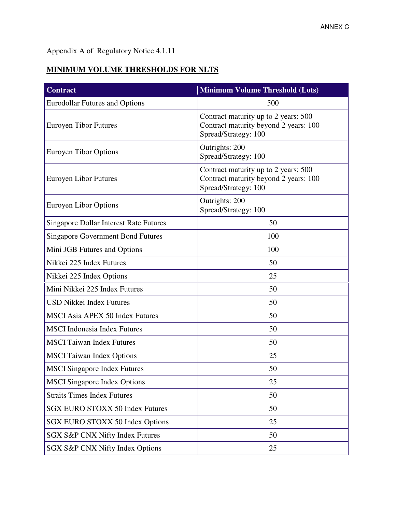## Appendix A of Regulatory Notice 4.1.11

## **MINIMUM VOLUME THRESHOLDS FOR NLTS**

| <b>Contract</b>                               | <b>Minimum Volume Threshold (Lots)</b>                                                                |  |
|-----------------------------------------------|-------------------------------------------------------------------------------------------------------|--|
| <b>Eurodollar Futures and Options</b>         | 500                                                                                                   |  |
| <b>Euroyen Tibor Futures</b>                  | Contract maturity up to 2 years: 500<br>Contract maturity beyond 2 years: 100<br>Spread/Strategy: 100 |  |
| Euroyen Tibor Options                         | Outrights: 200<br>Spread/Strategy: 100                                                                |  |
| <b>Euroyen Libor Futures</b>                  | Contract maturity up to 2 years: 500<br>Contract maturity beyond 2 years: 100<br>Spread/Strategy: 100 |  |
| Euroyen Libor Options                         | Outrights: 200<br>Spread/Strategy: 100                                                                |  |
| <b>Singapore Dollar Interest Rate Futures</b> | 50                                                                                                    |  |
| <b>Singapore Government Bond Futures</b>      | 100                                                                                                   |  |
| Mini JGB Futures and Options                  | 100                                                                                                   |  |
| Nikkei 225 Index Futures                      | 50                                                                                                    |  |
| Nikkei 225 Index Options                      | 25                                                                                                    |  |
| Mini Nikkei 225 Index Futures                 | 50                                                                                                    |  |
| <b>USD Nikkei Index Futures</b>               | 50                                                                                                    |  |
| <b>MSCI Asia APEX 50 Index Futures</b>        | 50                                                                                                    |  |
| <b>MSCI</b> Indonesia Index Futures           | 50                                                                                                    |  |
| <b>MSCI</b> Taiwan Index Futures              | 50                                                                                                    |  |
| <b>MSCI</b> Taiwan Index Options              | 25                                                                                                    |  |
| <b>MSCI</b> Singapore Index Futures           | 50                                                                                                    |  |
| <b>MSCI</b> Singapore Index Options           | 25                                                                                                    |  |
| <b>Straits Times Index Futures</b>            | 50                                                                                                    |  |
| <b>SGX EURO STOXX 50 Index Futures</b>        | 50                                                                                                    |  |
| SGX EURO STOXX 50 Index Options               | 25                                                                                                    |  |
| SGX S&P CNX Nifty Index Futures               | 50                                                                                                    |  |
| SGX S&P CNX Nifty Index Options               | 25                                                                                                    |  |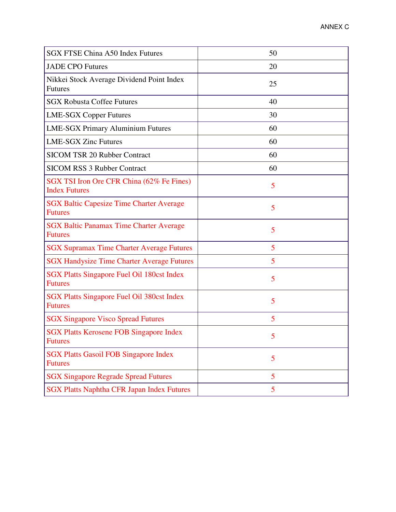| <b>SGX FTSE China A50 Index Futures</b>                           | 50 |
|-------------------------------------------------------------------|----|
| <b>JADE CPO Futures</b>                                           | 20 |
| Nikkei Stock Average Dividend Point Index<br><b>Futures</b>       | 25 |
| <b>SGX Robusta Coffee Futures</b>                                 | 40 |
| <b>LME-SGX Copper Futures</b>                                     | 30 |
| <b>LME-SGX Primary Aluminium Futures</b>                          | 60 |
| <b>LME-SGX Zinc Futures</b>                                       | 60 |
| <b>SICOM TSR 20 Rubber Contract</b>                               | 60 |
| <b>SICOM RSS 3 Rubber Contract</b>                                | 60 |
| SGX TSI Iron Ore CFR China (62% Fe Fines)<br><b>Index Futures</b> | 5  |
| <b>SGX Baltic Capesize Time Charter Average</b><br><b>Futures</b> | 5  |
| <b>SGX Baltic Panamax Time Charter Average</b><br><b>Futures</b>  | 5  |
| <b>SGX Supramax Time Charter Average Futures</b>                  | 5  |
| <b>SGX Handysize Time Charter Average Futures</b>                 | 5  |
| SGX Platts Singapore Fuel Oil 180cst Index<br><b>Futures</b>      | 5  |
| SGX Platts Singapore Fuel Oil 380cst Index<br><b>Futures</b>      | 5  |
| <b>SGX Singapore Visco Spread Futures</b>                         | 5  |
| <b>SGX Platts Kerosene FOB Singapore Index</b><br><b>Futures</b>  | 5  |
| <b>SGX Platts Gasoil FOB Singapore Index</b><br><b>Futures</b>    | 5  |
| <b>SGX Singapore Regrade Spread Futures</b>                       | 5  |
| <b>SGX Platts Naphtha CFR Japan Index Futures</b>                 | 5  |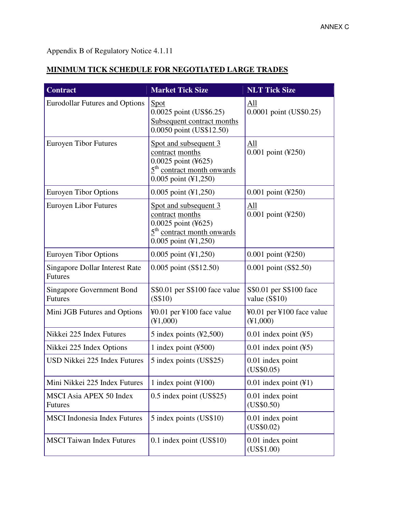## Appendix B of Regulatory Notice 4.1.11

## **MINIMUM TICK SCHEDULE FOR NEGOTIATED LARGE TRADES**

| <b>Contract</b>                                         | <b>Market Tick Size</b>                                                                                                     | <b>NLT Tick Size</b>                         |
|---------------------------------------------------------|-----------------------------------------------------------------------------------------------------------------------------|----------------------------------------------|
| <b>Eurodollar Futures and Options</b>                   | <u>Spot</u><br>0.0025 point (US\$6.25)<br>Subsequent contract months<br>0.0050 point (US\$12.50)                            | All<br>0.0001 point (US\$0.25)               |
| <b>Euroyen Tibor Futures</b>                            | Spot and subsequent 3<br>contract months<br>0.0025 point (¥625)<br>$5th$ contract month onwards<br>0.005 point (¥1,250)     | All<br>0.001 point (¥250)                    |
| <b>Euroyen Tibor Options</b>                            | $0.005$ point $(\text{\textsterling}1, 250)$                                                                                | $0.001$ point (¥250)                         |
| <b>Euroyen Libor Futures</b>                            | Spot and subsequent 3<br>contract months<br>0.0025 point (¥625)<br>$5th$ contract month onwards<br>$0.005$ point $(41,250)$ | All<br>0.001 point (¥250)                    |
| <b>Euroyen Tibor Options</b>                            | $0.005$ point $(\text{\textsterling}1, 250)$                                                                                | $0.001$ point (¥250)                         |
| <b>Singapore Dollar Interest Rate</b><br><b>Futures</b> | 0.005 point (S\$12.50)                                                                                                      | 0.001 point (S\$2.50)                        |
| <b>Singapore Government Bond</b><br><b>Futures</b>      | S\$0.01 per S\$100 face value<br>(S\$10)                                                                                    | S\$0.01 per S\$100 face<br>value $(S$10)$    |
| Mini JGB Futures and Options                            | ¥0.01 per ¥100 face value<br>(41,000)                                                                                       | ¥0.01 per ¥100 face value<br>(41,000)        |
| Nikkei 225 Index Futures                                | 5 index points $(\text{\textless}2, 500)$                                                                                   | $0.01$ index point $(\yen 5)$                |
| Nikkei 225 Index Options                                | 1 index point $(\text{\textless} 500)$                                                                                      | $0.01$ index point $(\text{\textdegree}5)$   |
| USD Nikkei 225 Index Futures                            | 5 index points (US\$25)                                                                                                     | 0.01 index point<br>(US\$0.05)               |
| Mini Nikkei 225 Index Futures                           | 1 index point $(\text{\textless} 100)$                                                                                      | $0.01$ index point $(\text{\textsterling}1)$ |
| <b>MSCI Asia APEX 50 Index</b><br><b>Futures</b>        | 0.5 index point (US\$25)                                                                                                    | 0.01 index point<br>(US\$0.50)               |
| <b>MSCI</b> Indonesia Index Futures                     | 5 index points (US\$10)                                                                                                     | 0.01 index point<br>(US\$0.02)               |
| <b>MSCI</b> Taiwan Index Futures                        | $0.1$ index point (US\$10)                                                                                                  | 0.01 index point<br>(US\$1.00)               |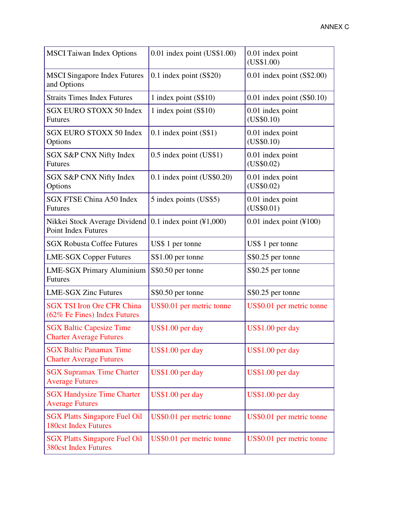| <b>MSCI</b> Taiwan Index Options                                    | 0.01 index point (US\$1.00)                   | 0.01 index point<br>(US\$1.00) |
|---------------------------------------------------------------------|-----------------------------------------------|--------------------------------|
| <b>MSCI</b> Singapore Index Futures<br>and Options                  | $0.1$ index point $(S$20)$                    | $0.01$ index point (S\$2.00)   |
| <b>Straits Times Index Futures</b>                                  | 1 index point $(S$10)$                        | $0.01$ index point $(S$0.10)$  |
| <b>SGX EURO STOXX 50 Index</b><br><b>Futures</b>                    | 1 index point (S\$10)                         | 0.01 index point<br>(US\$0.10) |
| <b>SGX EURO STOXX 50 Index</b><br>Options                           | $0.1$ index point $(S$1)$                     | 0.01 index point<br>(US\$0.10) |
| SGX S&P CNX Nifty Index<br><b>Futures</b>                           | 0.5 index point (US\$1)                       | 0.01 index point<br>(US\$0.02) |
| SGX S&P CNX Nifty Index<br>Options                                  | 0.1 index point (US\$0.20)                    | 0.01 index point<br>(US\$0.02) |
| <b>SGX FTSE China A50 Index</b><br><b>Futures</b>                   | 5 index points (US\$5)                        | 0.01 index point<br>(US\$0.01) |
| Nikkei Stock Average Dividend<br><b>Point Index Futures</b>         | 0.1 index point $(\text{\textsterling}1,000)$ | $0.01$ index point (¥100)      |
| <b>SGX Robusta Coffee Futures</b>                                   | US\$ 1 per tonne                              | US\$ 1 per tonne               |
| <b>LME-SGX Copper Futures</b>                                       | S\$1.00 per tonne                             | S\$0.25 per tonne              |
| <b>LME-SGX Primary Aluminium</b><br><b>Futures</b>                  | S\$0.50 per tonne                             | S\$0.25 per tonne              |
| <b>LME-SGX Zinc Futures</b>                                         | S\$0.50 per tonne                             | S\$0.25 per tonne              |
| <b>SGX TSI Iron Ore CFR China</b><br>(62% Fe Fines) Index Futures   | US\$0.01 per metric tonne                     | US\$0.01 per metric tonne      |
| <b>SGX Baltic Capesize Time</b><br><b>Charter Average Futures</b>   | US\$1.00 per day                              | US\$1.00 per day               |
| <b>SGX Baltic Panamax Time</b><br><b>Charter Average Futures</b>    | US\$1.00 per day                              | US\$1.00 per day               |
| <b>SGX Supramax Time Charter</b><br><b>Average Futures</b>          | US\$1.00 per day                              | US\$1.00 per day               |
| <b>SGX Handysize Time Charter</b><br><b>Average Futures</b>         | US\$1.00 per day                              | US\$1.00 per day               |
| <b>SGX Platts Singapore Fuel Oil</b><br><b>180cst Index Futures</b> | US\$0.01 per metric tonne                     | US\$0.01 per metric tonne      |
| <b>SGX Platts Singapore Fuel Oil</b><br><b>380cst Index Futures</b> | US\$0.01 per metric tonne                     | US\$0.01 per metric tonne      |